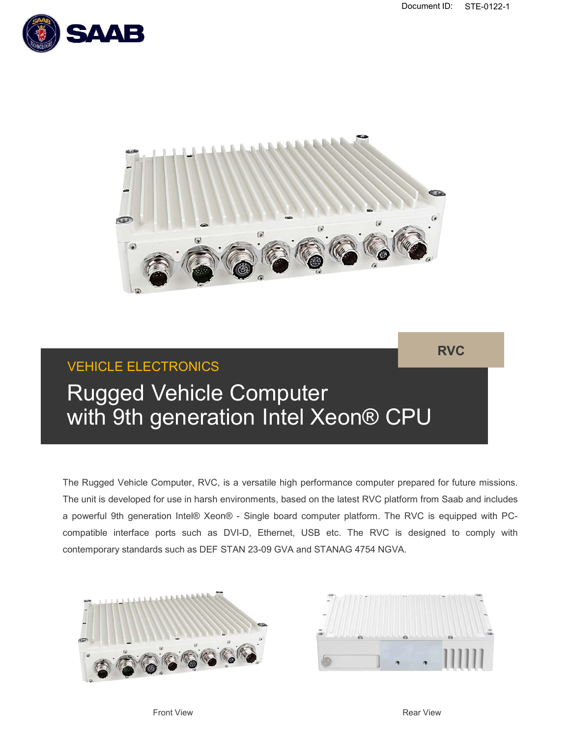RVC





# VEHICLE ELECTRONICS

The Rugged Vehicle Computer (Second) CPU<br>The Rugged Vehicle Computer (Second) CPU<br>The Rugged Vehicle Computer, RVC, is a versatile high performance computer prepared for future missions.<br>The unit is developed for use in ha The Rugged Vehicle Computer (Section 19th **9th Computer Computer Same Computer** (Section 19th Sabble Computer RVC, is a versalile high performance computer prepared for future missions.<br>The Rugged Vehicle Computer, RVC, is RUCCURE ELECTRONICS<br> **A powerful 9th generation Intel Xeon® CPU**<br>
The Rugged Vehicle Computer, RVC, is a versatile high performance computer prepared for future missions.<br>
The unit is developed for use in harsh environment **comparison of the ELECTRONICS**<br> **comparison of the Computer**<br>
The Rugged Vehicle Computer, RVC, is a versatile high performance computer prepared for future missions.<br>
The unit is developed for use in harsh environments, **CONTROVER COMPUT AS READ COMPUTER WITH SEXECUTE OF COMPUTER WITH SUGGERED VALUE COMPUTER WITH SUGGERED COMPUTER THE Rugged Vehicle Computer, RVC, is a versaltile high performance computer prepared for future missions. The** Computer, RVC, is a versatile high performance computer prepared for future missions.<br>
for use in harsh environments, based on the latest RVC platform from Saab and includes<br>
ation Intel® Xeon® - Single board computer plat